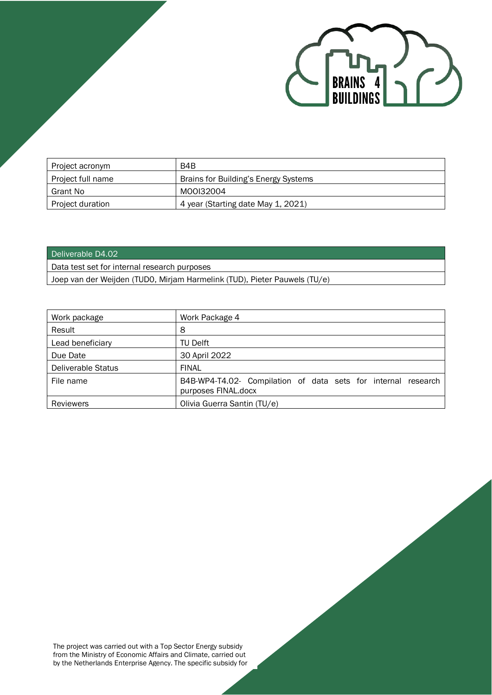

| Project acronym   | B4B                                  |
|-------------------|--------------------------------------|
| Project full name | Brains for Building's Energy Systems |
| Grant No          | M00I32004                            |
| Project duration  | 4 year (Starting date May 1, 2021)   |

#### Deliverable D4.02

Data test set for internal research purposes

Joep van der Weijden (TUD0, Mirjam Harmelink (TUD), Pieter Pauwels (TU/e)

| Work package              | Work Package 4                                                                       |
|---------------------------|--------------------------------------------------------------------------------------|
| Result                    | 8                                                                                    |
| Lead beneficiary          | TU Delft                                                                             |
| Due Date                  | 30 April 2022                                                                        |
| <b>Deliverable Status</b> | <b>FINAL</b>                                                                         |
| File name                 | B4B-WP4-T4.02- Compilation of data sets for internal research<br>purposes FINAL.docx |
| <b>Reviewers</b>          | Olivia Guerra Santin (TU/e)                                                          |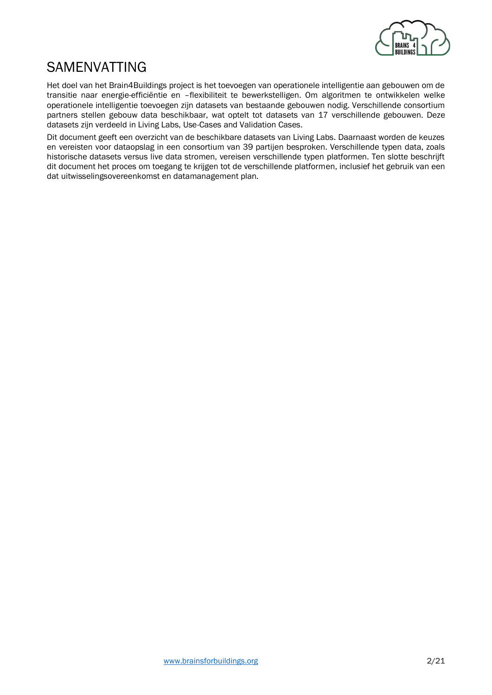

## <span id="page-1-0"></span>SAMENVATTING

Het doel van het Brain4Buildings project is het toevoegen van operationele intelligentie aan gebouwen om de transitie naar energie-efficiëntie en –flexibiliteit te bewerkstelligen. Om algoritmen te ontwikkelen welke operationele intelligentie toevoegen zijn datasets van bestaande gebouwen nodig. Verschillende consortium partners stellen gebouw data beschikbaar, wat optelt tot datasets van 17 verschillende gebouwen. Deze datasets zijn verdeeld in Living Labs, Use-Cases and Validation Cases.

Dit document geeft een overzicht van de beschikbare datasets van Living Labs. Daarnaast worden de keuzes en vereisten voor dataopslag in een consortium van 39 partijen besproken. Verschillende typen data, zoals historische datasets versus live data stromen, vereisen verschillende typen platformen. Ten slotte beschrijft dit document het proces om toegang te krijgen tot de verschillende platformen, inclusief het gebruik van een dat uitwisselingsovereenkomst en datamanagement plan.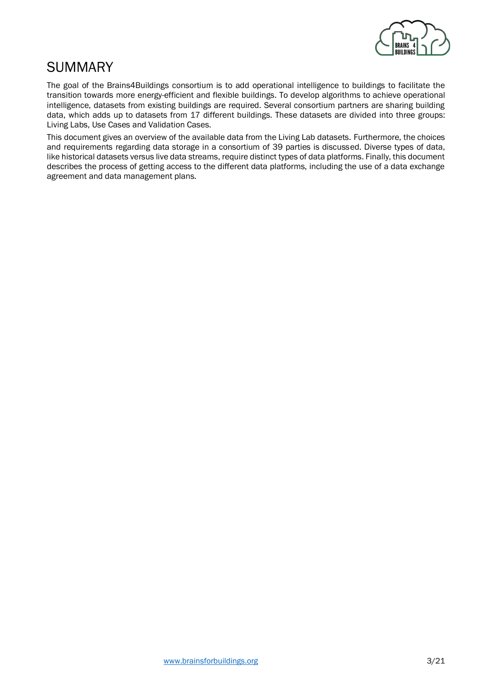

## <span id="page-2-0"></span>SUMMARY

The goal of the Brains4Buildings consortium is to add operational intelligence to buildings to facilitate the transition towards more energy-efficient and flexible buildings. To develop algorithms to achieve operational intelligence, datasets from existing buildings are required. Several consortium partners are sharing building data, which adds up to datasets from 17 different buildings. These datasets are divided into three groups: Living Labs, Use Cases and Validation Cases.

This document gives an overview of the available data from the Living Lab datasets. Furthermore, the choices and requirements regarding data storage in a consortium of 39 parties is discussed. Diverse types of data, like historical datasets versus live data streams, require distinct types of data platforms. Finally, this document describes the process of getting access to the different data platforms, including the use of a data exchange agreement and data management plans.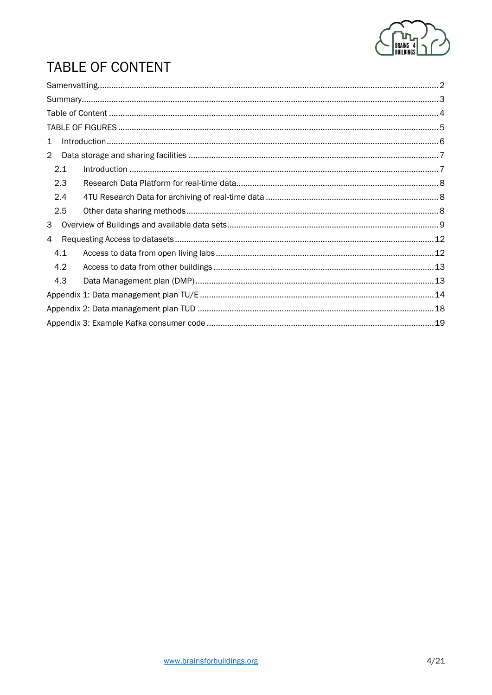

# <span id="page-3-0"></span>**TABLE OF CONTENT**

| $\mathbf{1}$   |     |  |  |  |
|----------------|-----|--|--|--|
| $\overline{2}$ |     |  |  |  |
|                | 2.1 |  |  |  |
|                | 2.3 |  |  |  |
|                | 2.4 |  |  |  |
|                | 2.5 |  |  |  |
| 3              |     |  |  |  |
| 4              |     |  |  |  |
|                | 4.1 |  |  |  |
|                | 4.2 |  |  |  |
|                | 4.3 |  |  |  |
|                |     |  |  |  |
|                |     |  |  |  |
|                |     |  |  |  |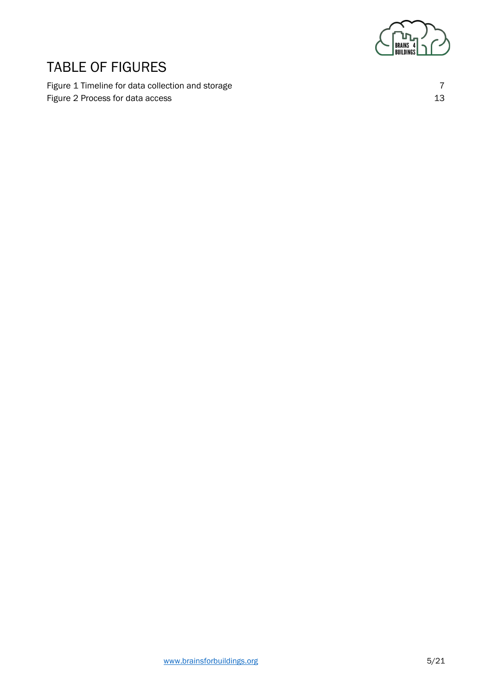

## <span id="page-4-0"></span>TABLE OF FIGURES

[Figure 1 Timeline for data collection and storage](#page-6-2) 7 and 7 [Figure 2 Process for data access](#page-12-2) 13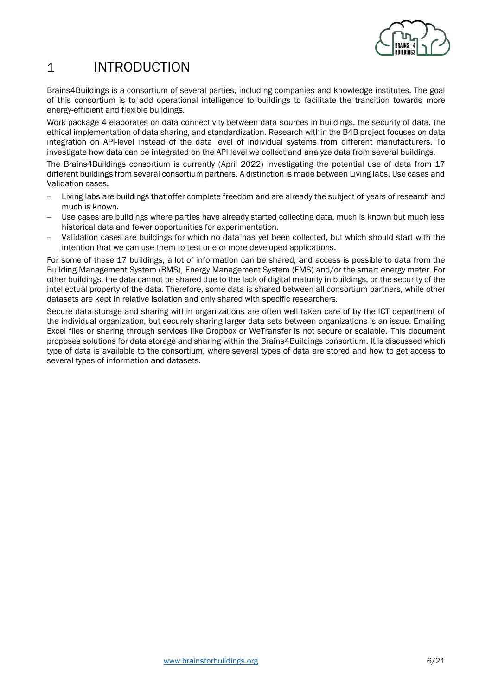

## <span id="page-5-0"></span>1 INTRODUCTION

Brains4Buildings is a consortium of several parties, including companies and knowledge institutes. The goal of this consortium is to add operational intelligence to buildings to facilitate the transition towards more energy-efficient and flexible buildings.

Work package 4 elaborates on data connectivity between data sources in buildings, the security of data, the ethical implementation of data sharing, and standardization. Research within the B4B project focuses on data integration on API-level instead of the data level of individual systems from different manufacturers. To investigate how data can be integrated on the API level we collect and analyze data from several buildings.

The Brains4Buildings consortium is currently (April 2022) investigating the potential use of data from 17 different buildings from several consortium partners. A distinction is made between Living labs, Use cases and Validation cases.

- − Living labs are buildings that offer complete freedom and are already the subject of years of research and much is known.
- Use cases are buildings where parties have already started collecting data, much is known but much less historical data and fewer opportunities for experimentation.
- − Validation cases are buildings for which no data has yet been collected, but which should start with the intention that we can use them to test one or more developed applications.

For some of these 17 buildings, a lot of information can be shared, and access is possible to data from the Building Management System (BMS), Energy Management System (EMS) and/or the smart energy meter. For other buildings, the data cannot be shared due to the lack of digital maturity in buildings, or the security of the intellectual property of the data. Therefore, some data is shared between all consortium partners, while other datasets are kept in relative isolation and only shared with specific researchers.

Secure data storage and sharing within organizations are often well taken care of by the ICT department of the individual organization, but securely sharing larger data sets between organizations is an issue. Emailing Excel files or sharing through services like Dropbox or WeTransfer is not secure or scalable. This document proposes solutions for data storage and sharing within the Brains4Buildings consortium. It is discussed which type of data is available to the consortium, where several types of data are stored and how to get access to several types of information and datasets.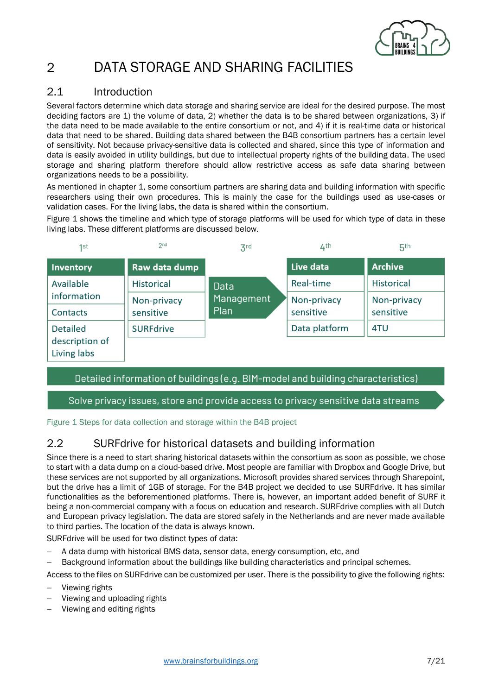<span id="page-6-2"></span>

## <span id="page-6-0"></span>2 DATA STORAGE AND SHARING FACILITIES

#### <span id="page-6-1"></span>2.1 Introduction

Several factors determine which data storage and sharing service are ideal for the desired purpose. The most deciding factors are 1) the volume of data, 2) whether the data is to be shared between organizations, 3) if the data need to be made available to the entire consortium or not, and 4) if it is real-time data or historical data that need to be shared. Building data shared between the B4B consortium partners has a certain level of sensitivity. Not because privacy-sensitive data is collected and shared, since this type of information and data is easily avoided in utility buildings, but due to intellectual property rights of the building data. The used storage and sharing platform therefore should allow restrictive access as safe data sharing between organizations needs to be a possibility.

As mentioned in chapter 1, some consortium partners are sharing data and building information with specific researchers using their own procedures. This is mainly the case for the buildings used as use-cases or validation cases. For the living labs, the data is shared within the consortium.

[Figure 1](#page-6-2) shows the timeline and which type of storage platforms will be used for which type of data in these living labs. These different platforms are discussed below.

| 1st                           | 2 <sub>nd</sub>   | $\mathsf{Z}^{\mathsf{rd}}$ | 4th           | 5 <sup>th</sup>   |
|-------------------------------|-------------------|----------------------------|---------------|-------------------|
| Inventory                     | Raw data dump     |                            | Live data     | <b>Archive</b>    |
| Available                     | <b>Historical</b> | Data                       | Real-time     | <b>Historical</b> |
| information                   | Non-privacy       | Management                 | Non-privacy   | Non-privacy       |
| Contacts                      | sensitive         | Plan                       | sensitive     | sensitive         |
| <b>Detailed</b>               | <b>SURFdrive</b>  |                            | Data platform | 4TU               |
| description of<br>Living labs |                   |                            |               |                   |

#### Detailed information of buildings (e.g. BIM-model and building characteristics)

#### Solve privacy issues, store and provide access to privacy sensitive data streams

Figure 1 Steps for data collection and storage within the B4B project

### 2.2 SURFdrive for historical datasets and building information

Since there is a need to start sharing historical datasets within the consortium as soon as possible, we chose to start with a data dump on a cloud-based drive. Most people are familiar with Dropbox and Google Drive, but these services are not supported by all organizations. Microsoft provides shared services through Sharepoint, but the drive has a limit of 1GB of storage. For the B4B project we decided to use SURFdrive. It has similar functionalities as the beforementioned platforms. There is, however, an important added benefit of SURF it being a non-commercial company with a focus on education and research. SURFdrive complies with all Dutch and European privacy legislation. The data are stored safely in the Netherlands and are never made available to third parties. The location of the data is always known.

SURFdrive will be used for two distinct types of data:

- − A data dump with historical BMS data, sensor data, energy consumption, etc, and
- − Background information about the buildings like building characteristics and principal schemes.

Access to the files on SURFdrive can be customized per user. There is the possibility to give the following rights:

- − Viewing rights
- Viewing and uploading rights
- − Viewing and editing rights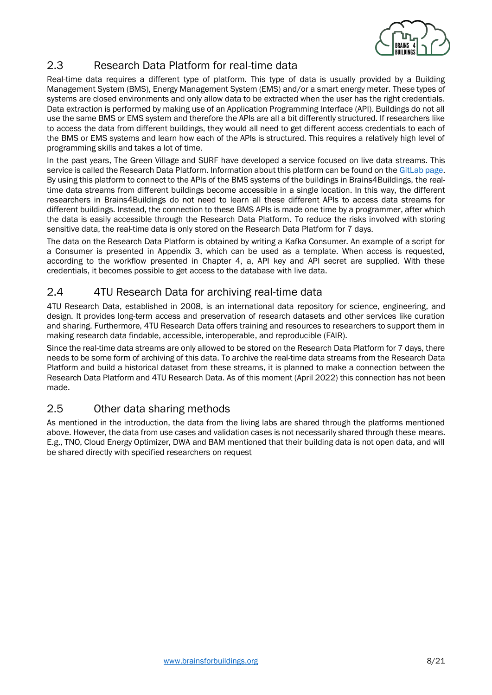

### <span id="page-7-0"></span>2.3 Research Data Platform for real-time data

Real-time data requires a different type of platform. This type of data is usually provided by a Building Management System (BMS), Energy Management System (EMS) and/or a smart energy meter. These types of systems are closed environments and only allow data to be extracted when the user has the right credentials. Data extraction is performed by making use of an Application Programming Interface (API). Buildings do not all use the same BMS or EMS system and therefore the APIs are all a bit differently structured. If researchers like to access the data from different buildings, they would all need to get different access credentials to each of the BMS or EMS systems and learn how each of the APIs is structured. This requires a relatively high level of programming skills and takes a lot of time.

In the past years, The Green Village and SURF have developed a service focused on live data streams. This service is called the Research Data Platform. Information about this platform can be found on th[e GitLab page.](https://gitlab.com/the-green-village/tgv-documentation) By using this platform to connect to the APIs of the BMS systems of the buildings in Brains4Buildings, the realtime data streams from different buildings become accessible in a single location. In this way, the different researchers in Brains4Buildings do not need to learn all these different APIs to access data streams for different buildings. Instead, the connection to these BMS APIs is made one time by a programmer, after which the data is easily accessible through the Research Data Platform. To reduce the risks involved with storing sensitive data, the real-time data is only stored on the Research Data Platform for 7 days.

The data on the Research Data Platform is obtained by writing a Kafka Consumer. An example of a script for a Consumer is presented in Appendix 3, which can be used as a template. When access is requested, according to the workflow presented in Chapter 4, a, API key and API secret are supplied. With these credentials, it becomes possible to get access to the database with live data.

### <span id="page-7-1"></span>2.4 4TU Research Data for archiving real-time data

4TU Research Data, established in 2008, is an international data repository for science, engineering, and design. It provides long-term access and preservation of research datasets and other services like curation and sharing. Furthermore, 4TU Research Data offers training and resources to researchers to support them in making research data findable, accessible, interoperable, and reproducible (FAIR).

Since the real-time data streams are only allowed to be stored on the Research Data Platform for 7 days, there needs to be some form of archiving of this data. To archive the real-time data streams from the Research Data Platform and build a historical dataset from these streams, it is planned to make a connection between the Research Data Platform and 4TU Research Data. As of this moment (April 2022) this connection has not been made.

### <span id="page-7-2"></span>2.5 Other data sharing methods

As mentioned in the introduction, the data from the living labs are shared through the platforms mentioned above. However, the data from use cases and validation cases is not necessarily shared through these means. E.g., TNO, Cloud Energy Optimizer, DWA and BAM mentioned that their building data is not open data, and will be shared directly with specified researchers on request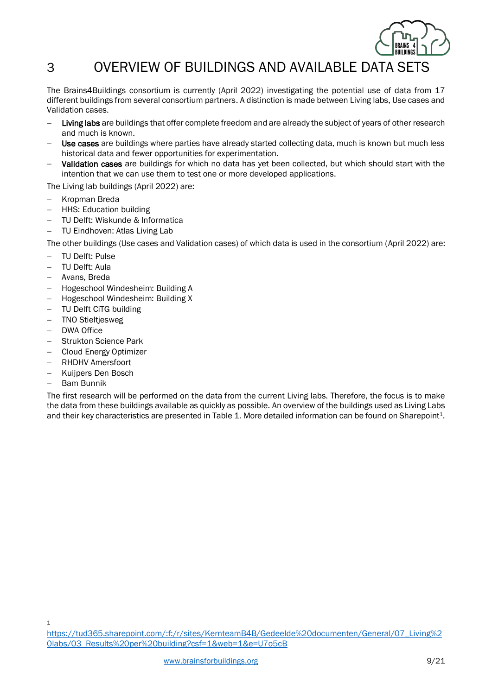

## <span id="page-8-0"></span>3 OVERVIEW OF BUILDINGS AND AVAILABLE DATA SETS

The Brains4Buildings consortium is currently (April 2022) investigating the potential use of data from 17 different buildings from several consortium partners. A distinction is made between Living labs, Use cases and Validation cases.

- − Living labs are buildings that offer complete freedom and are already the subject of years of other research and much is known.
- Use cases are buildings where parties have already started collecting data, much is known but much less historical data and fewer opportunities for experimentation.
- Validation cases are buildings for which no data has yet been collected, but which should start with the intention that we can use them to test one or more developed applications.

The Living lab buildings (April 2022) are:

- − Kropman Breda
- − HHS: Education building
- − TU Delft: Wiskunde & Informatica
- − TU Eindhoven: Atlas Living Lab

The other buildings (Use cases and Validation cases) of which data is used in the consortium (April 2022) are:

- − TU Delft: Pulse
- − TU Delft: Aula
- − Avans, Breda
- − Hogeschool Windesheim: Building A
- − Hogeschool Windesheim: Building X
- − TU Delft CiTG building
- − TNO Stieltjesweg
- − DWA Office
- − Strukton Science Park
- − Cloud Energy Optimizer
- − RHDHV Amersfoort
- − Kuijpers Den Bosch
- − Bam Bunnik

The first research will be performed on the data from the current Living labs. Therefore, the focus is to make the data from these buildings available as quickly as possible. An overview of the buildings used as Living Labs and their key characteristics are presented in [Table 1.](#page-9-0) More detailed information can be found on Sharepoint<sup>1</sup>.

1

[https://tud365.sharepoint.com/:f:/r/sites/KernteamB4B/Gedeelde%20documenten/General/07\\_Living%2](https://tud365.sharepoint.com/:f:/r/sites/KernteamB4B/Gedeelde%20documenten/General/07_Living%20labs/03_Results%20per%20building?csf=1&web=1&e=U7o5cB) [0labs/03\\_Results%20per%20building?csf=1&web=1&e=U7o5cB](https://tud365.sharepoint.com/:f:/r/sites/KernteamB4B/Gedeelde%20documenten/General/07_Living%20labs/03_Results%20per%20building?csf=1&web=1&e=U7o5cB)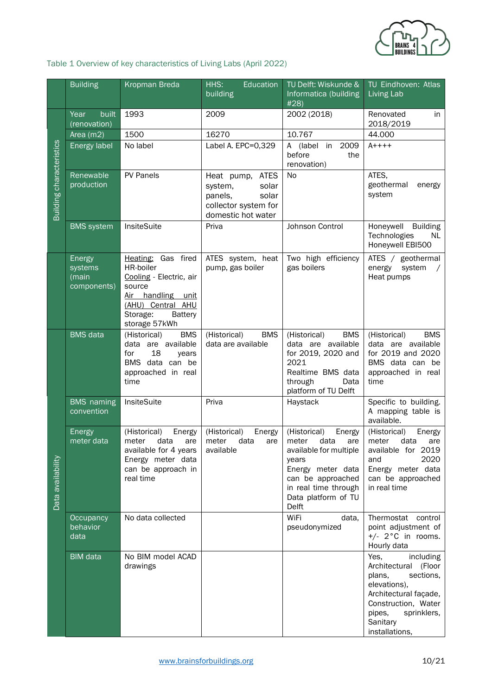

<span id="page-9-0"></span>Table 1 Overview of key characteristics of Living Labs (April 2022)

|                          | <b>Building</b>                           | <b>Kropman Breda</b>                                                                                                                                   | HHS:<br>Education<br>building                                                                         | TU Delft: Wiskunde &<br>Informatica (building<br>#28)                                                                                                                               | TU Eindhoven: Atlas<br>Living Lab                                                                                                                                                       |
|--------------------------|-------------------------------------------|--------------------------------------------------------------------------------------------------------------------------------------------------------|-------------------------------------------------------------------------------------------------------|-------------------------------------------------------------------------------------------------------------------------------------------------------------------------------------|-----------------------------------------------------------------------------------------------------------------------------------------------------------------------------------------|
|                          | built<br>Year<br>(renovation)             | 1993                                                                                                                                                   | 2009                                                                                                  | 2002 (2018)                                                                                                                                                                         | Renovated<br>in<br>2018/2019                                                                                                                                                            |
|                          | Area (m2)                                 | 1500                                                                                                                                                   | 16270                                                                                                 | 10.767                                                                                                                                                                              | 44.000                                                                                                                                                                                  |
| Building characteristics | Energy label                              | No label                                                                                                                                               | Label A. EPC=0,329                                                                                    | 2009<br>A (label in<br>before<br>the<br>renovation)                                                                                                                                 | $A + + + +$                                                                                                                                                                             |
|                          | Renewable<br>production                   | PV Panels                                                                                                                                              | Heat pump, ATES<br>system,<br>solar<br>panels,<br>solar<br>collector system for<br>domestic hot water | No                                                                                                                                                                                  | ATES,<br>geothermal<br>energy<br>system                                                                                                                                                 |
|                          | <b>BMS</b> system                         | InsiteSuite                                                                                                                                            | Priva                                                                                                 | Johnson Control                                                                                                                                                                     | Honeywell<br><b>Building</b><br>Technologies<br>NL.<br>Honeywell EBI500                                                                                                                 |
|                          | Energy<br>systems<br>(main<br>components) | Heating: Gas fired<br>HR-boiler<br>Cooling - Electric, air<br>source<br>Air handling unit<br>(AHU) Central AHU<br>Storage:<br>Battery<br>storage 57kWh | ATES system, heat<br>pump, gas boiler                                                                 | Two high efficiency<br>gas boilers                                                                                                                                                  | ATES / geothermal<br>system<br>energy<br>Heat pumps                                                                                                                                     |
|                          | <b>BMS</b> data                           | (Historical)<br><b>BMS</b><br>data are available<br>18<br>for<br>years<br>BMS data can be<br>approached in real<br>time                                | <b>BMS</b><br>(Historical)<br>data are available                                                      | (Historical)<br><b>BMS</b><br>data are available<br>for 2019, 2020 and<br>2021<br>Realtime BMS data<br>through<br>Data<br>platform of TU Delft                                      | (Historical)<br><b>BMS</b><br>data are available<br>for 2019 and 2020<br>BMS data can be<br>approached in real<br>time                                                                  |
|                          | <b>BMS</b> naming<br>convention           | InsiteSuite                                                                                                                                            | Priva                                                                                                 | Haystack                                                                                                                                                                            | Specific to building.<br>A mapping table is<br>available.                                                                                                                               |
| Data availability        | <b>Energy</b><br>meter data               | (Historical)<br>Energy<br>meter<br>data<br>are<br>available for 4 years<br>Energy meter data<br>can be approach in<br>real time                        | (Historical)<br>Energy<br>meter<br>data<br>are<br>available                                           | (Historical)<br>Energy<br>meter<br>data<br>are<br>available for multiple<br>years<br>Energy meter data<br>can be approached<br>in real time through<br>Data platform of TU<br>Delft | (Historical)<br>Energy<br>meter<br>data<br>are<br>available for 2019<br>2020<br>and<br>Energy meter data<br>can be approached<br>in real time                                           |
|                          | <b>Occupancy</b><br>behavior<br>data      | No data collected                                                                                                                                      |                                                                                                       | WiFi<br>data,<br>pseudonymized                                                                                                                                                      | Thermostat control<br>point adjustment of<br>$+/$ - 2°C in rooms.<br>Hourly data                                                                                                        |
|                          | <b>BIM</b> data                           | No BIM model ACAD<br>drawings                                                                                                                          |                                                                                                       |                                                                                                                                                                                     | Yes,<br>including<br>Architectural (Floor<br>sections,<br>plans,<br>elevations),<br>Architectural façade,<br>Construction, Water<br>sprinklers,<br>pipes,<br>Sanitary<br>installations, |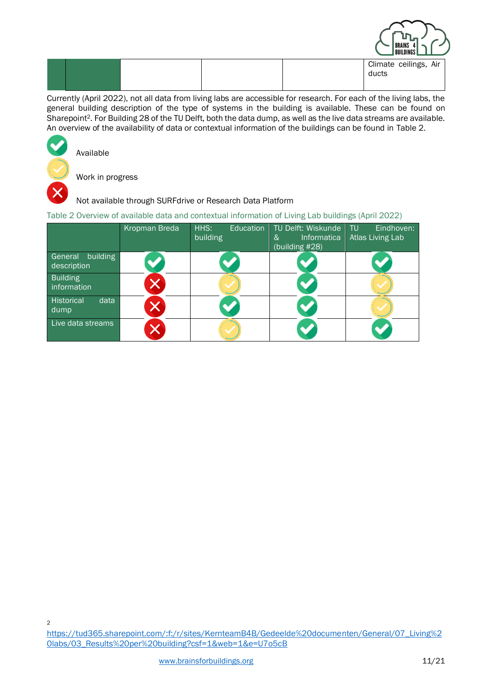|  |  | PRAING T<br><b>BUILDINGS</b>   |
|--|--|--------------------------------|
|  |  | Climate ceilings, Air<br>ducts |

Currently (April 2022), not all data from living labs are accessible for research. For each of the living labs, the general building description of the type of systems in the building is available. These can be found on Sharepoint2. For Building 28 of the TU Delft, both the data dump, as well as the live data streams are available. An overview of the availability of data or contextual information of the buildings can be found in [Table 2.](#page-10-0)



Available

Work in progress

#### Not available through SURFdrive or Research Data Platform

<span id="page-10-0"></span>Table 2 Overview of available data and contextual information of Living Lab buildings (April 2022)

|                                    | Kropman Breda | HHS:<br>Education<br>building | TU Delft: Wiskunde<br>Informatica<br>&<br>(building #28) | Eindhoven:<br>-TU<br>Atlas Living Lab |
|------------------------------------|---------------|-------------------------------|----------------------------------------------------------|---------------------------------------|
| building<br>General<br>description |               |                               |                                                          |                                       |
| <b>Building</b><br>information     |               |                               |                                                          |                                       |
| Historical<br>data<br>dump         |               |                               |                                                          |                                       |
| Live data streams                  |               |                               |                                                          |                                       |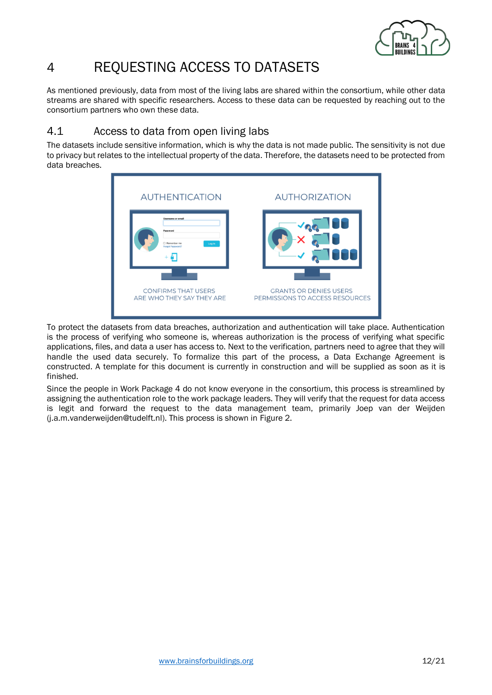

# <span id="page-11-0"></span>4 REQUESTING ACCESS TO DATASETS

As mentioned previously, data from most of the living labs are shared within the consortium, while other data streams are shared with specific researchers. Access to these data can be requested by reaching out to the consortium partners who own these data.

### <span id="page-11-1"></span>4.1 Access to data from open living labs

The datasets include sensitive information, which is why the data is not made public. The sensitivity is not due to privacy but relates to the intellectual property of the data. Therefore, the datasets need to be protected from data breaches.



To protect the datasets from data breaches, authorization and authentication will take place. Authentication is the process of verifying who someone is, whereas authorization is the process of verifying what specific applications, files, and data a user has access to. Next to the verification, partners need to agree that they will handle the used data securely. To formalize this part of the process, a Data Exchange Agreement is constructed. A template for this document is currently in construction and will be supplied as soon as it is finished.

Since the people in Work Package 4 do not know everyone in the consortium, this process is streamlined by assigning the authentication role to the work package leaders. They will verify that the request for data access is legit and forward the request to the data management team, primarily Joep van der Weijden (j.a.m.vanderweijden@tudelft.nl). This process is shown in [Figure 2.](#page-12-2)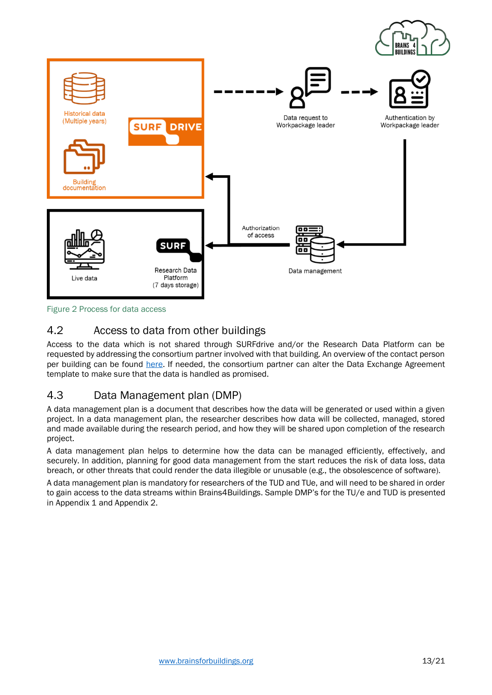

<span id="page-12-2"></span>Figure 2 Process for data access

### <span id="page-12-0"></span>4.2 Access to data from other buildings

Access to the data which is not shared through SURFdrive and/or the Research Data Platform can be requested by addressing the consortium partner involved with that building. An overview of the contact person per building can be found [here.](https://tud365.sharepoint.com/:x:/r/sites/KernteamB4B/Gedeelde%20documenten/General/07_Living%20labs/Living%20labs%20and%20use%20cases.xlsx?d=w807e212d4f0a4a50be819e6e4df358e9&csf=1&web=1&e=WBx6fD) If needed, the consortium partner can alter the Data Exchange Agreement template to make sure that the data is handled as promised.

### <span id="page-12-1"></span>4.3 Data Management plan (DMP)

A data management plan is a document that describes how the data will be generated or used within a given project. In a data management plan, the researcher describes how data will be collected, managed, stored and made available during the research period, and how they will be shared upon completion of the research project.

A data management plan helps to determine how the data can be managed efficiently, effectively, and securely. In addition, planning for good data management from the start reduces the risk of data loss, data breach, or other threats that could render the data illegible or unusable (e.g., the obsolescence of software).

A data management plan is mandatory for researchers of the TUD and TUe, and will need to be shared in order to gain access to the data streams within Brains4Buildings. Sample DMP's for the TU/e and TUD is presented in Appendix 1 and Appendix 2.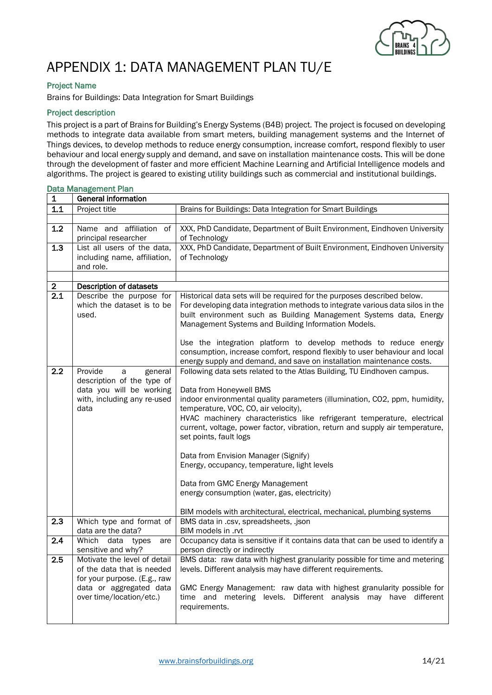

# <span id="page-13-0"></span>APPENDIX 1: DATA MANAGEMENT PLAN TU/E

#### Project Name

Brains for Buildings: Data Integration for Smart Buildings

#### Project description

This project is a part of Brains for Building's Energy Systems (B4B) project. The project is focused on developing methods to integrate data available from smart meters, building management systems and the Internet of Things devices, to develop methods to reduce energy consumption, increase comfort, respond flexibly to user behaviour and local energy supply and demand, and save on installation maintenance costs. This will be done through the development of faster and more efficient Machine Learning and Artificial Intelligence models and algorithms. The project is geared to existing utility buildings such as commercial and institutional buildings.

|                  | Data Management Plan                                                                                                                              |                                                                                                                                                                                                                                                                                                                                                                                                                                                                                                                                                                                                                                                                      |
|------------------|---------------------------------------------------------------------------------------------------------------------------------------------------|----------------------------------------------------------------------------------------------------------------------------------------------------------------------------------------------------------------------------------------------------------------------------------------------------------------------------------------------------------------------------------------------------------------------------------------------------------------------------------------------------------------------------------------------------------------------------------------------------------------------------------------------------------------------|
| 1                | <b>General information</b>                                                                                                                        |                                                                                                                                                                                                                                                                                                                                                                                                                                                                                                                                                                                                                                                                      |
| $1.1$            | Project title                                                                                                                                     | Brains for Buildings: Data Integration for Smart Buildings                                                                                                                                                                                                                                                                                                                                                                                                                                                                                                                                                                                                           |
|                  |                                                                                                                                                   |                                                                                                                                                                                                                                                                                                                                                                                                                                                                                                                                                                                                                                                                      |
| 1.2              | Name and affiliation of<br>principal researcher                                                                                                   | XXX, PhD Candidate, Department of Built Environment, Eindhoven University<br>of Technology                                                                                                                                                                                                                                                                                                                                                                                                                                                                                                                                                                           |
| 1.3              | List all users of the data,<br>including name, affiliation,<br>and role.                                                                          | XXX, PhD Candidate, Department of Built Environment, Eindhoven University<br>of Technology                                                                                                                                                                                                                                                                                                                                                                                                                                                                                                                                                                           |
| $\mathbf{2}$     | Description of datasets                                                                                                                           |                                                                                                                                                                                                                                                                                                                                                                                                                                                                                                                                                                                                                                                                      |
| $\overline{2.1}$ | Describe the purpose for<br>which the dataset is to be<br>used.                                                                                   | Historical data sets will be required for the purposes described below.<br>For developing data integration methods to integrate various data silos in the<br>built environment such as Building Management Systems data, Energy<br>Management Systems and Building Information Models.<br>Use the integration platform to develop methods to reduce energy<br>consumption, increase comfort, respond flexibly to user behaviour and local<br>energy supply and demand, and save on installation maintenance costs.                                                                                                                                                   |
| 2.2              | Provide<br>general<br>a<br>description of the type of<br>data you will be working<br>with, including any re-used<br>data                          | Following data sets related to the Atlas Building, TU Eindhoven campus.<br>Data from Honeywell BMS<br>indoor environmental quality parameters (illumination, CO2, ppm, humidity,<br>temperature, VOC, CO, air velocity),<br>HVAC machinery characteristics like refrigerant temperature, electrical<br>current, voltage, power factor, vibration, return and supply air temperature,<br>set points, fault logs<br>Data from Envision Manager (Signify)<br>Energy, occupancy, temperature, light levels<br>Data from GMC Energy Management<br>energy consumption (water, gas, electricity)<br>BIM models with architectural, electrical, mechanical, plumbing systems |
| 2.3              | Which type and format of<br>data are the data?                                                                                                    | BMS data in .csv, spreadsheets, .json<br>BIM models in .rvt                                                                                                                                                                                                                                                                                                                                                                                                                                                                                                                                                                                                          |
| 2.4              | Which data types<br>are<br>sensitive and why?                                                                                                     | Occupancy data is sensitive if it contains data that can be used to identify a<br>person directly or indirectly                                                                                                                                                                                                                                                                                                                                                                                                                                                                                                                                                      |
| 2.5              | Motivate the level of detail<br>of the data that is needed<br>for your purpose. (E.g., raw<br>data or aggregated data<br>over time/location/etc.) | BMS data: raw data with highest granularity possible for time and metering<br>levels. Different analysis may have different requirements.<br>GMC Energy Management: raw data with highest granularity possible for<br>time and metering levels. Different analysis may have different<br>requirements.                                                                                                                                                                                                                                                                                                                                                               |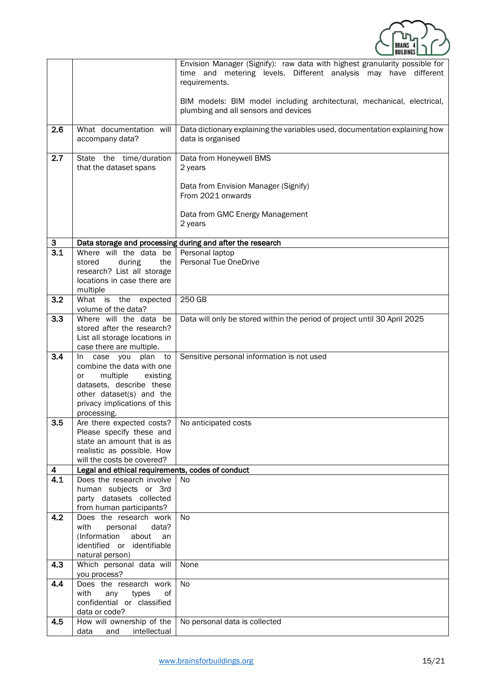

|          |                                                                               | Envision Manager (Signify): raw data with highest granularity possible for<br>time and metering levels. Different analysis may have different<br>requirements. |
|----------|-------------------------------------------------------------------------------|----------------------------------------------------------------------------------------------------------------------------------------------------------------|
|          |                                                                               | BIM models: BIM model including architectural, mechanical, electrical,<br>plumbing and all sensors and devices                                                 |
| 2.6      | What documentation will<br>accompany data?                                    | Data dictionary explaining the variables used, documentation explaining how<br>data is organised                                                               |
| 2.7      | State the time/duration<br>that the dataset spans                             | Data from Honeywell BMS<br>2 years                                                                                                                             |
|          |                                                                               | Data from Envision Manager (Signify)<br>From 2021 onwards                                                                                                      |
|          |                                                                               | Data from GMC Energy Management<br>2 years                                                                                                                     |
| 3        |                                                                               | Data storage and processing during and after the research                                                                                                      |
| 3.1      | Where will the data be                                                        | Personal laptop                                                                                                                                                |
|          | stored<br>during<br>the                                                       | Personal Tue OneDrive                                                                                                                                          |
|          | research? List all storage<br>locations in case there are                     |                                                                                                                                                                |
|          | multiple                                                                      |                                                                                                                                                                |
| 3.2      | What is the expected                                                          | 250 GB                                                                                                                                                         |
|          | volume of the data?                                                           |                                                                                                                                                                |
| 3.3      | Where will the data be<br>stored after the research?                          | Data will only be stored within the period of project until 30 April 2025                                                                                      |
|          | List all storage locations in                                                 |                                                                                                                                                                |
|          | case there are multiple.                                                      |                                                                                                                                                                |
| 3.4      | case you plan<br>to<br>In.                                                    | Sensitive personal information is not used                                                                                                                     |
|          | combine the data with one                                                     |                                                                                                                                                                |
|          | multiple<br>existing<br>or<br>datasets, describe these                        |                                                                                                                                                                |
|          | other dataset(s) and the                                                      |                                                                                                                                                                |
|          | privacy implications of this                                                  |                                                                                                                                                                |
|          | processing.                                                                   |                                                                                                                                                                |
| 3.5      | Are there expected costs?<br>Please specify these and                         | No anticipated costs                                                                                                                                           |
|          | state an amount that is as                                                    |                                                                                                                                                                |
|          | realistic as possible. How                                                    |                                                                                                                                                                |
|          | will the costs be covered?                                                    |                                                                                                                                                                |
| 4<br>4.1 | Legal and ethical requirements, codes of conduct<br>Does the research involve | No                                                                                                                                                             |
|          | human subjects or 3rd                                                         |                                                                                                                                                                |
|          | party datasets collected                                                      |                                                                                                                                                                |
|          | from human participants?                                                      |                                                                                                                                                                |
| 4.2      | Does the research work                                                        | No.                                                                                                                                                            |
|          | with<br>personal<br>data?<br>(Information<br>about<br>an                      |                                                                                                                                                                |
|          | identified or identifiable                                                    |                                                                                                                                                                |
|          | natural person)                                                               |                                                                                                                                                                |
| 4.3      | Which personal data will<br>you process?                                      | None                                                                                                                                                           |
| 4.4      | Does the research work                                                        | <b>No</b>                                                                                                                                                      |
|          | with<br>types<br>any<br>οf<br>confidential or classified                      |                                                                                                                                                                |
|          | data or code?                                                                 |                                                                                                                                                                |
| 4.5      | How will ownership of the                                                     | No personal data is collected                                                                                                                                  |
|          | data<br>and<br>intellectual                                                   |                                                                                                                                                                |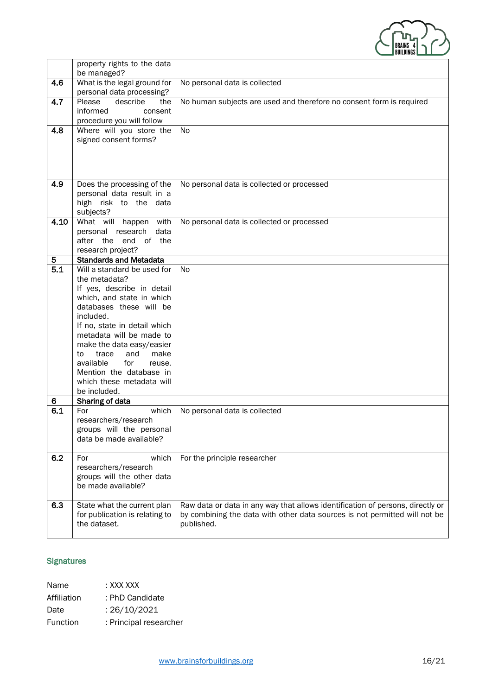

|                              | property rights to the data<br>be managed?                                                                                                                                                                                                                                                                                                                                                                      |                                                                                                                                                                            |
|------------------------------|-----------------------------------------------------------------------------------------------------------------------------------------------------------------------------------------------------------------------------------------------------------------------------------------------------------------------------------------------------------------------------------------------------------------|----------------------------------------------------------------------------------------------------------------------------------------------------------------------------|
| 4.6                          | What is the legal ground for<br>personal data processing?                                                                                                                                                                                                                                                                                                                                                       | No personal data is collected                                                                                                                                              |
| 4.7                          | describe<br>Please<br>the<br>informed<br>consent<br>procedure you will follow                                                                                                                                                                                                                                                                                                                                   | No human subjects are used and therefore no consent form is required                                                                                                       |
| 4.8                          | Where will you store the<br>signed consent forms?                                                                                                                                                                                                                                                                                                                                                               | No                                                                                                                                                                         |
| 4.9                          | Does the processing of the<br>personal data result in a<br>high risk to the data<br>subjects?                                                                                                                                                                                                                                                                                                                   | No personal data is collected or processed                                                                                                                                 |
| 4.10                         | What will happen<br>with<br>personal research<br>data<br>after the end of the<br>research project?                                                                                                                                                                                                                                                                                                              | No personal data is collected or processed                                                                                                                                 |
| 5                            | <b>Standards and Metadata</b>                                                                                                                                                                                                                                                                                                                                                                                   |                                                                                                                                                                            |
| $\overline{5.1}$<br>6<br>6.1 | Will a standard be used for<br>the metadata?<br>If yes, describe in detail<br>which, and state in which<br>databases these will be<br>included.<br>If no, state in detail which<br>metadata will be made to<br>make the data easy/easier<br>trace<br>and<br>make<br>to<br>available<br>for<br>reuse.<br>Mention the database in<br>which these metadata will<br>be included.<br>Sharing of data<br>For<br>which | No<br>No personal data is collected                                                                                                                                        |
|                              | researchers/research<br>groups will the personal<br>data be made available?                                                                                                                                                                                                                                                                                                                                     |                                                                                                                                                                            |
| 6.2                          | which<br>For<br>researchers/research<br>groups will the other data<br>be made available?                                                                                                                                                                                                                                                                                                                        | For the principle researcher                                                                                                                                               |
| 6.3                          | State what the current plan<br>for publication is relating to<br>the dataset.                                                                                                                                                                                                                                                                                                                                   | Raw data or data in any way that allows identification of persons, directly or<br>by combining the data with other data sources is not permitted will not be<br>published. |

#### **Signatures**

Name : XXX XXX Affiliation : PhD Candidate Date : 26/10/2021 Function : Principal researcher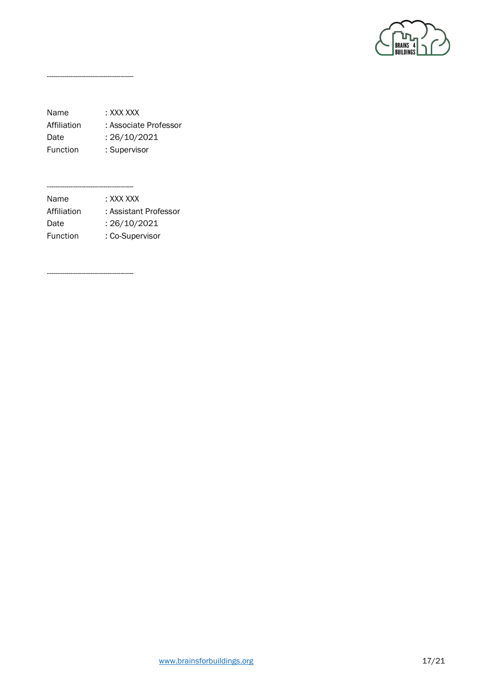

Name : XXX XXX Affiliation : Associate Professor Date : 26/10/2021 Function : Supervisor

----------------------------------------

---------------------------------------- Name : XXX XXX Affiliation : Assistant Professor Date : 26/10/2021 Function : Co-Supervisor

----------------------------------------

[www.brainsforbuildings.org](http://www.brainsforbuildings.org/) 17/21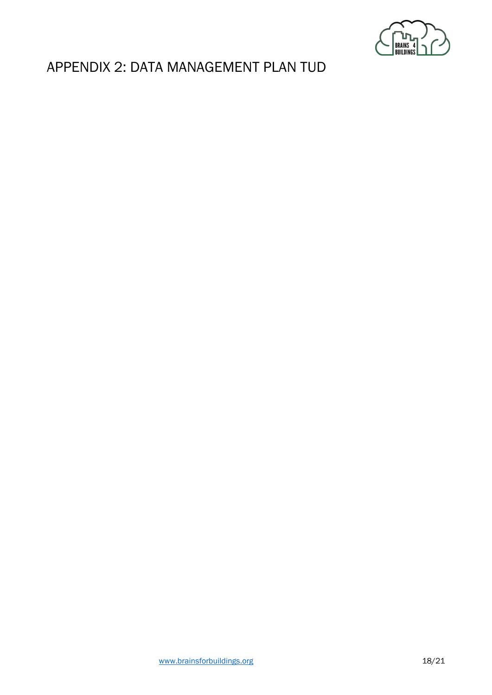

## <span id="page-17-0"></span>APPENDIX 2: DATA MANAGEMENT PLAN TUD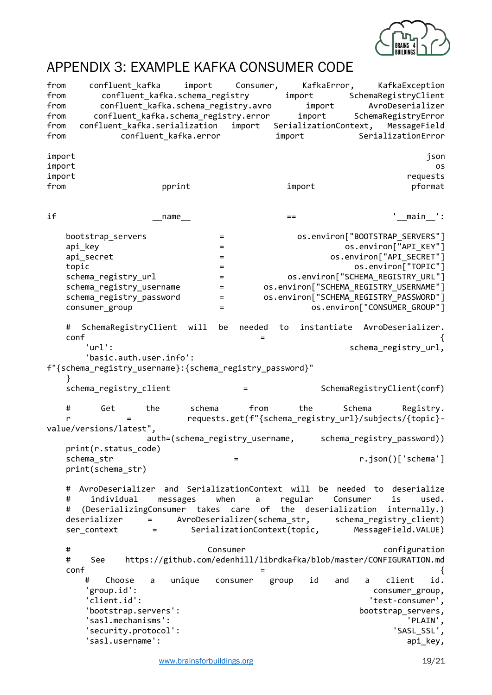

## <span id="page-18-0"></span>APPENDIX 3: EXAMPLE KAFKA CONSUMER CODE

from confluent\_kafka import Consumer, KafkaError, KafkaException<br>from confluent\_kafka.schema\_registry import SchemaRegistryClient from confluent\_kafka.schema\_registry import SchemaRegistryClient<br>from confluent\_kafka.schema\_registry.avro import AvroDeserializer confluent kafka.schema registry.avro import AvroDeserializer from confluent kafka.schema registry.error import SchemaRegistryError from confluent kafka.serialization import SerializationContext, MessageField from confluent kafka.error import SerializationError import json import os import requests from pprint import pformat if \_\_name\_\_ == '\_\_main\_\_': bootstrap\_servers = os.environ["BOOTSTRAP\_SERVERS"] api key same that the set of the set of the set of the set of the set of the set of the set of the set of the s api\_secret  $=$   $-$  os.environ["API\_SECRET"] topic = os.environ["TOPIC"] schema\_registry\_url = os.environ["SCHEMA\_REGISTRY\_URL"] schema\_registry\_username = os.environ["SCHEMA\_REGISTRY\_USERNAME"] schema\_registry\_password = os.environ["SCHEMA\_REGISTRY\_PASSWORD"] consumer\_group =  $=$  os.environ["CONSUMER\_GROUP"] # SchemaRegistryClient will be needed to instantiate AvroDeserializer.  $\epsilon$  conf  $\epsilon$ 'url': schema registry url, 'basic.auth.user.info': f"{schema\_registry\_username}:{schema\_registry\_password}" } schema registry client  $=$  SchemaRegistryClient(conf) # Get the schema from the Schema Registry. r = requests.get(f"{schema\_registry\_url}/subjects/{topic} value/versions/latest", auth=(schema registry\_username, schema\_registry\_password)) print(r.status\_code) schema\_str = r.json()['schema'] print(schema\_str) # AvroDeserializer and SerializationContext will be needed to deserialize # individual messages when a regular Consumer is used. # (DeserializingConsumer takes care of the deserialization internally.) deserializer = AvroDeserializer(schema\_str, schema\_registry\_client) ser context = SerializationContext(topic, MessageField.VALUE) # Consumer configuration # See https://github.com/edenhill/librdkafka/blob/master/CONFIGURATION.md  $\epsilon$  conf  $\epsilon$  # Choose a unique consumer group id and a client id. 'group.id': consumer\_group, 'client.id': 'test-consumer', 'bootstrap.servers': bootstrap\_servers, 'sasl.mechanisms': 'security.protocol': 'SASL\_SSL', 'sasl.username': api\_key,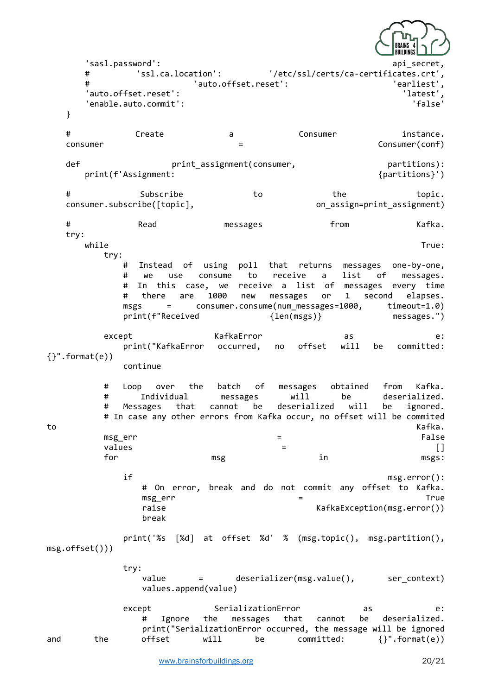

 $\blacksquare$ 'sas $1.\mathsf{password}$ ': api\_secret, api\_secret, api\_secret, api\_secret, api\_secret, api\_secret, api\_secret, api\_secret, api\_secret, api\_secret, api\_secret, api # 'ssl.ca.location': '/etc/ssl/certs/ca-certificates.crt', # 'auto.offset.reset': 'earliest', 'auto.offset.reset': 'latest', 'enable.auto.commit': } # Create a Consumer instance. consumer = Consumer(conf) def example print assignment(consumer, the partitions): print(f'Assignment: {partitions}') # Subscribe to the topic. consumer.subscribe([topic], on\_assign=print\_assignment) # Read messages from Kafka. try: while the contract of the contract of the contract of the contract of the contract of the contract of the contract of the contract of the contract of the contract of the contract of the contract of the contract of the cont try: # Instead of using poll that returns messages one-by-one, # we use consume to receive a list of messages. # In this case, we receive a list of messages every time # there are 1000 new messages or 1 second elapses. msgs = consumer.consume(num\_messages=1000, timeout=1.0) print(f"Received {len(msgs)} messages.") except KafkaError as e: print("KafkaError occurred, no offset will be committed: {}".format(e)) continue # Loop over the batch of messages obtained from Kafka. # Individual messages will be deserialized. # Messages that cannot be deserialized will be ignored. # In case any other errors from Kafka occur, no offset will be commited to the contract of the contract of the contract of the contract of the contract of the contract of the contract of the contract of the contract of the contract of the contract of the contract of the contract of the contrac msg\_err = False  $\blacksquare$  values the contract of  $\blacksquare$  and  $\blacksquare$  and  $\blacksquare$  and  $\blacksquare$  and  $\blacksquare$  and  $\blacksquare$  and  $\blacksquare$  and  $\blacksquare$  and  $\blacksquare$  and  $\blacksquare$  and  $\blacksquare$  and  $\blacksquare$  and  $\blacksquare$  and  $\blacksquare$  and  $\blacksquare$  and  $\blacksquare$  and  $\blacksquare$  and  $\blacks$  for msg in msgs: if msg.error(): # On error, break and do not commit any offset to Kafka. msg\_err = True raise  $KafkaException(msgerror())$ break print('%s [%d] at offset %d' % (msg.topic(), msg.partition(), msg.offset())) try: value = deserializer(msg.value(), ser\_context) values.append(value) except **SerializationError** as e: # Ignore the messages that cannot be deserialized. print("SerializationError occurred, the message will be ignored and the offset will be committed: {}".format(e))